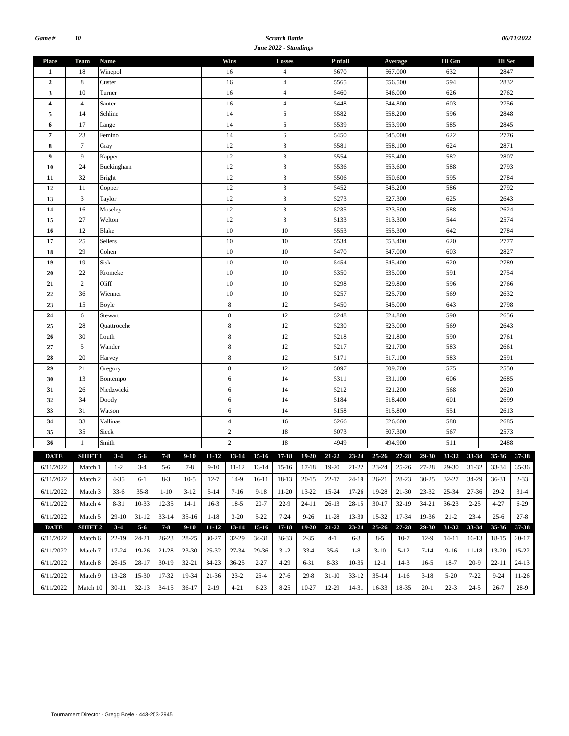#### *Scratch Battle June 2022 - Standings*

| 06/11/2022 |
|------------|
|            |

|                  |                                    |               |                  |           |         |             |                |                | suncessed summings |                 |                 |             |           |         |           |           |           |              |                |  |
|------------------|------------------------------------|---------------|------------------|-----------|---------|-------------|----------------|----------------|--------------------|-----------------|-----------------|-------------|-----------|---------|-----------|-----------|-----------|--------------|----------------|--|
| <b>Place</b>     | Team                               | Name          |                  |           |         |             | Wins           |                | Losses             |                 | Pinfall         |             |           | Average |           | Hi Gm     |           | Hi Set       |                |  |
| 1                | 18                                 | Winepol       |                  |           |         |             | 16             |                | $\overline{4}$     |                 | 5670            |             | 567.000   |         |           | 632       |           | 2847         |                |  |
| $\boldsymbol{2}$ | $\,8\,$                            | Custer        |                  |           |         |             | 16             |                | $\overline{4}$     |                 | 5565<br>556.500 |             |           | 594     |           | 2832      |           |              |                |  |
| 3                | 10                                 | Turner        |                  |           |         | 16          |                | $\overline{4}$ |                    | 5460            |                 |             | 546.000   |         | 626       |           | 2762      |              |                |  |
| 4                | $\overline{4}$                     | Sauter        |                  |           |         | 16          |                | $\overline{4}$ |                    | 5448            |                 |             | 544.800   |         | 603       |           | 2756      |              |                |  |
| 5                | 14                                 | Schline       |                  |           |         |             | 14             |                | 6                  |                 | 5582            |             |           | 558.200 |           | 596       |           | 2848         |                |  |
| 6                | 17                                 | Lange         |                  |           |         |             | 14             |                | 6                  |                 | 5539            |             |           | 553.900 |           | 585       |           | 2845         |                |  |
| $\overline{7}$   | 23                                 | Femino        |                  |           |         |             | 14             |                | 6                  |                 | 5450            |             |           | 545.000 |           | 622       |           | 2776         |                |  |
| 8                | $\boldsymbol{7}$                   | Gray          |                  |           |         |             | 12             |                | 8                  |                 | 5581            |             |           | 558.100 |           | 624       |           | 2871         |                |  |
| 9                | 9                                  | Kapper        |                  |           |         |             | 12             |                | 8                  |                 | 5554            |             |           | 555.400 |           | 582       |           | 2807         |                |  |
| 10               | 24                                 | Buckingham    |                  |           |         |             | 12             |                | $\,$ 8 $\,$        |                 | 5536            |             |           | 553.600 |           | 588       |           | 2793         |                |  |
| 11               | 32                                 | <b>Bright</b> |                  |           |         |             | 12             |                | $\,$ 8 $\,$        |                 | 5506            |             |           | 550.600 |           | 595       |           | 2784         |                |  |
| 12               | 11                                 | Copper        |                  |           |         |             | 12             |                | $\,$ 8 $\,$        |                 | 5452            |             |           | 545.200 |           | 586       |           | 2792         |                |  |
| 13               | $\mathfrak z$                      | Taylor        |                  |           |         |             | 12             |                | 8                  |                 | 5273            |             |           | 527.300 |           | 625       |           | 2643         |                |  |
| 14               | 16                                 | Moseley       |                  |           |         |             | 12             |                | 8                  |                 | 5235            |             |           | 523.500 |           | 588       |           | 2624         |                |  |
| 15               | 27                                 | Welton        |                  |           |         |             | 12             |                | $\,$ 8 $\,$        |                 | 5133            |             |           | 513.300 |           | 544       |           | 2574         |                |  |
| 16               | 12                                 | Blake         |                  |           |         |             | 10             |                | 10                 |                 | 5553<br>555.300 |             |           |         |           | 642       |           | 2784         |                |  |
| 17               | 25                                 | Sellers       |                  |           |         | 10<br>10    |                |                |                    |                 | 5534<br>553.400 |             |           |         |           | 620       |           | 2777         |                |  |
| 18               | 29                                 | Cohen         |                  |           |         | 10          |                |                | 10                 |                 | 5470            |             |           | 547.000 |           | 603       |           | 2827         |                |  |
| 19               | 19                                 | Sisk          |                  |           | 10      |             |                | 10             | 5454               |                 |                 | 545.400     |           | 620     |           | 2789      |           |              |                |  |
| 20               | 22                                 | Kromeke       |                  |           | 10      |             |                | 10             |                    | 5350            |                 |             | 535.000   |         | 591       |           | 2754      |              |                |  |
| 21               | $\mathbf{2}$                       | Oliff         |                  |           |         | 10          |                | 10             |                    | 5298            |                 |             | 529.800   | 596     |           |           | 2766      |              |                |  |
| 22               | 36                                 | Wienner       |                  |           | 10      |             |                | 10             |                    | 5257<br>525.700 |                 |             | 569       |         |           | 2632      |           |              |                |  |
| 23               | 15                                 | Boyle         |                  |           |         | 8           |                | 12             |                    | 5450            |                 |             | 545.000   |         | 643       |           | 2798      |              |                |  |
| 24               | 6                                  | Stewart       |                  |           |         | 8           |                | 12             |                    | 5248            |                 | 524.800     |           |         | 590       |           | 2656      |              |                |  |
| 25               | 28                                 | Quattrocche   |                  |           |         | $\,$ 8 $\,$ |                | 12             |                    | 5230            |                 |             | 523.000   |         | 569       |           | 2643      |              |                |  |
| 26               | 30                                 | Louth         |                  |           |         | $\,$ 8 $\,$ |                |                | 12                 |                 | 5218            |             | 521.800   |         |           | 590       |           | 2761         |                |  |
| 27               | $\sqrt{5}$                         | Wander        |                  |           |         | $\,8\,$     |                |                | 12                 |                 | 5217            |             | 521.700   |         |           | 583       |           | 2661         |                |  |
| 28               | 20                                 | Harvey        |                  |           |         | $\,$ 8 $\,$ |                |                | 12                 |                 | 5171            |             |           | 517.100 |           | 583       |           | 2591         |                |  |
| 29               | 21                                 | Gregory       |                  |           |         |             | $\,8\,$        |                | 12                 |                 | 5097            |             |           | 509.700 |           | 575       |           | 2550         |                |  |
| 30               | 13                                 | Bontempo      |                  |           |         | $\sqrt{6}$  |                |                | 14                 |                 | 5311            |             | 531.100   |         |           | 606       |           | 2685         |                |  |
| 31               | 26                                 | Niedzwicki    |                  |           |         |             | 6              |                | 14                 |                 | 5212            |             | 521.200   |         |           | 568       |           | 2620         |                |  |
| 32               | 34                                 | Doody         |                  |           |         |             | 6              |                | 14                 |                 | 5184            |             | 518.400   |         |           | 601       |           | 2699         |                |  |
| 33               | 31                                 | Watson        |                  |           |         |             | 6              |                | 14                 |                 | 5158            |             |           | 515.800 |           | 551       |           | 2613         |                |  |
| 34               | 33                                 | Vallinas      |                  |           |         |             | $\overline{4}$ |                | 16                 |                 | 5266            |             |           | 526.600 |           | 588       |           | 2685         |                |  |
| 35               | 35                                 | Sieck         |                  |           |         |             | $\sqrt{2}$     |                | 18                 |                 | 5073            |             |           | 507.300 |           | 567       |           |              |                |  |
| 36               | $\mathbf{1}$                       | Smith         |                  |           |         |             | $\overline{c}$ |                | 18                 |                 | 4949            |             |           | 494.900 |           | 511       |           | 2573<br>2488 |                |  |
|                  |                                    |               |                  |           |         |             |                |                |                    |                 |                 |             |           |         |           |           |           |              |                |  |
| <b>DATE</b>      | SHIFT 1<br>$6/11/2022$ Match 1 1-2 | $3 - 4$       | $5 - 6$<br>$3-4$ | $7 - 8$   | $9-10$  | $11 - 12$   | 13-14          | $15-16$        | $17 - 18$          | $19 - 20$       | $21 - 22$       | 23-24 25-26 |           | 27-28   | $29 - 30$ | 31-32     | 33-34     | $35 - 36$    | 37-38<br>35-36 |  |
|                  |                                    |               |                  |           |         |             |                |                |                    |                 |                 |             |           |         |           |           |           |              |                |  |
| 6/11/2022        | Match 2                            | 4-35          | $6-1$            | $8-3$     | $10-5$  | $12 - 7$    | 14-9           | 16-11          | 18-13              | $20-15$         | $22 - 17$       | 24-19       | 26-21     | 28-23   | $30 - 25$ | 32-27     | 34-29     | 36-31        | $2 - 33$       |  |
| 6/11/2022        | Match 3                            | $33-6$        | $35 - 8$         | $1 - 10$  | $3-12$  | $5-14$      | $7-16$         | $9-18$         | 11-20              | 13-22           | 15-24           | $17-26$     | 19-28     | $21-30$ | $23 - 32$ | $25 - 34$ | $27 - 36$ | 29-2         | $31-4$         |  |
| 6/11/2022        | Match 4                            | 8-31          | 10-33            | 12-35     | 14-1    | $16-3$      | $18-5$         | $20 - 7$       | $22-9$             | 24-11           | $26-13$         | $28-15$     | $30-17$   | $32-19$ | $34 - 21$ | $36 - 23$ | $2 - 25$  | 4-27         | $6 - 29$       |  |
| 6/11/2022        | Match 5                            | $29-10$       | $31 - 12$        | $33 - 14$ | $35-16$ | $1 - 18$    | $3-20$         | $5 - 22$       | $7 - 24$           | $9 - 26$        | 11-28           | 13-30       | 15-32     | 17-34   | 19-36     | $21 - 2$  | $23 - 4$  | $25 - 6$     | $27 - 8$       |  |
| <b>DATE</b>      | <b>SHIFT 2</b>                     | $3 - 4$       | $5 - 6$          | $7 - 8$   | $9-10$  | $11 - 12$   | 13-14          | $15-16$        | $17 - 18$          | $19 - 20$       | $21 - 22$       | 23-24       | $25 - 26$ | 27-28   | 29-30     | 31-32     | 33-34     | 35-36        | 37-38          |  |
| 6/11/2022        | Match 6                            | $22-19$       | 24-21            | $26 - 23$ | 28-25   | $30 - 27$   | 32-29          | 34-31          | $36 - 33$          | $2 - 35$        | $4-1$           | $6 - 3$     | $8 - 5$   | $10-7$  | $12-9$    | $14-11$   | $16-13$   | 18-15        | $20-17$        |  |
|                  |                                    |               |                  |           |         |             |                |                |                    |                 |                 | $1 - 8$     |           |         |           |           |           |              |                |  |
| 6/11/2022        | Match 7                            | 17-24         | 19-26            | 21-28     | 23-30   | 25-32       | 27-34          | 29-36          | $31-2$             | $33-4$          | $35-6$          |             | $3-10$    | $5-12$  | $7 - 14$  | $9-16$    | $11 - 18$ | 13-20        | 15-22          |  |
| 6/11/2022        | Match 8                            | $26-15$       | 28-17            | 30-19     | 32-21   | 34-23       | $36 - 25$      | $2 - 27$       | $4 - 29$           | 6-31            | $8 - 33$        | 10-35       | $12-1$    | $14-3$  | $16-5$    | 18-7      | $20-9$    | $22 - 11$    | $24-13$        |  |
| 6/11/2022        | Match 9                            | 13-28         | 15-30            | 17-32     | 19-34   | 21-36       | $23 - 2$       | $25 - 4$       | $27-6$             | $29-8$          | $31-10$         | $33-12$     | $35-14$   | $1-16$  | $3-18$    | $5-20$    | $7 - 22$  | $9-24$       | 11-26          |  |
| 6/11/2022        | Match 10                           | $30-11$       | $32-13$          | 34-15     | $36-17$ | $2-19$      | $4 - 21$       | $6 - 23$       | $8 - 25$           | $10-27$         | 12-29           | 14-31       | $16 - 33$ | 18-35   | $20-1$    | $22 - 3$  | $24 - 5$  | $26 - 7$     | 28-9           |  |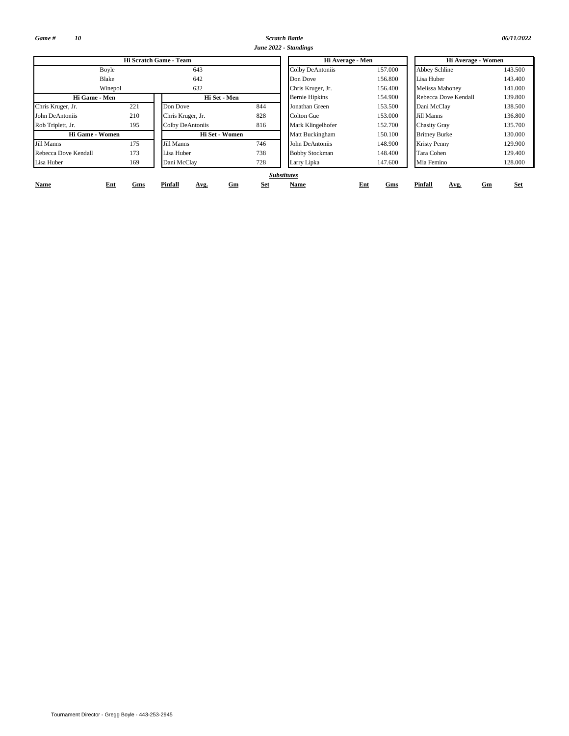*Game # 10*

**Name**

*Scratch Battle 06/11/2022 June 2022 - Standings*

|                      |     | Hi Scratch Game - Team |     | Hi Average - Men      |         | Hi Average - Women     |         |  |  |
|----------------------|-----|------------------------|-----|-----------------------|---------|------------------------|---------|--|--|
| Boyle                |     | 643                    |     | Colby DeAntoniis      | 157.000 | Abbey Schline          | 143.500 |  |  |
| Blake                |     | 642                    |     | Don Dove              | 156.800 | Lisa Huber             | 143.400 |  |  |
| Winepol              |     | 632                    |     | Chris Kruger, Jr.     | 156.400 | <b>Melissa Mahoney</b> | 141.000 |  |  |
| Hi Game - Men        |     | Hi Set - Men           |     | <b>Bernie Hipkins</b> | 154.900 | Rebecca Dove Kendall   | 139.800 |  |  |
| Chris Kruger, Jr.    | 221 | Don Dove               | 844 | Jonathan Green        | 153.500 | Dani McClay            | 138.500 |  |  |
| John DeAntoniis      | 210 | Chris Kruger, Jr.      | 828 | Colton Gue            | 153.000 | Jill Manns             | 136.800 |  |  |
| Rob Triplett, Jr.    | 195 | Colby DeAntoniis       | 816 | Mark Klingelhofer     | 152.700 | <b>Chasity Gray</b>    | 135.700 |  |  |
| Hi Game - Women      |     | Hi Set - Women         |     | Matt Buckingham       | 150.100 | <b>Britney Burke</b>   | 130.000 |  |  |
| Jill Manns           | 175 | <b>Jill Manns</b>      | 746 | John DeAntoniis       | 148.900 | <b>Kristy Penny</b>    | 129.900 |  |  |
| Rebecca Dove Kendall | 173 | Lisa Huber             | 738 | <b>Bobby Stockman</b> | 148.400 | Tara Cohen             | 129.400 |  |  |
| Lisa Huber           | 169 | Dani McClay            | 728 | Larry Lipka           | 147.600 | Mia Femino             | 128.000 |  |  |

**Ent Gm Set Gms Pinfall Avg.**

**Gms Pinfall Avg. Name Ent Gm Set**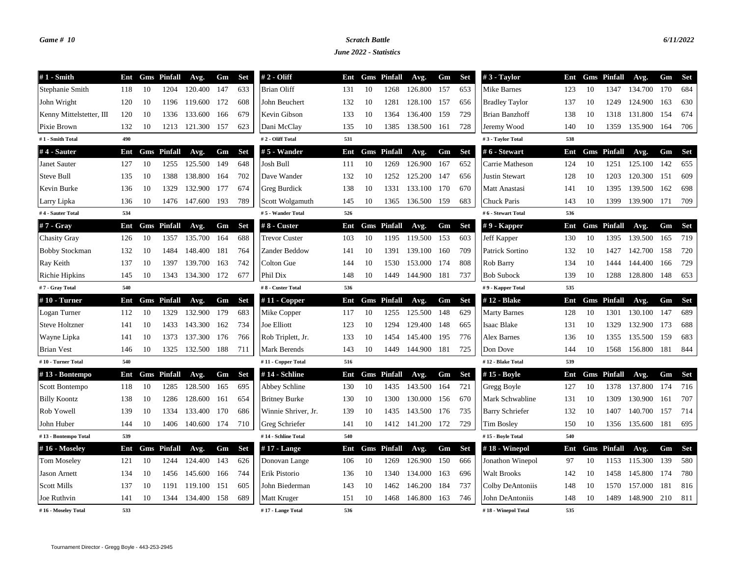## *Game # 10 Scratch Battle 6/11/2022*

*June 2022 - Statistics*

| $#1$ - Smith             | Ent |    | <b>Gms</b> Pinfall | Avg.    | Gm  | <b>Set</b> | # 2 - Oliff          | Ent |    | <b>Gms</b> Pinfall | Avg.             | Gm  | <b>Set</b> | $#3$ - Taylor          | Ent |    | <b>Gms</b> Pinfall | Avg.    | Gm    | <b>Set</b> |
|--------------------------|-----|----|--------------------|---------|-----|------------|----------------------|-----|----|--------------------|------------------|-----|------------|------------------------|-----|----|--------------------|---------|-------|------------|
| Stephanie Smith          | 118 | 10 | 1204               | 120.400 | 147 | 633        | <b>Brian Oliff</b>   | 131 | 10 | 1268               | 126.800          | 157 | 653        | Mike Barnes            | 123 | 10 | 1347               | 134.700 | 170   | 684        |
| John Wright              | 120 | 10 | 1196               | 119.600 | 172 | 608        | John Beuchert        | 132 | 10 | 1281               | 128.100 157      |     | 656        | <b>Bradley Taylor</b>  | 137 | 10 | 1249               | 124.900 | 163   | 630        |
| Kenny Mittelstetter, III | 120 | 10 | 1336               | 133.600 | 166 | 679        | Kevin Gibson         | 133 | 10 | 1364               | 136.400 159      |     | 729        | Brian Banzhoff         | 138 | 10 | 1318               | 131.800 | - 154 | 674        |
| Pixie Brown              | 132 | 10 | 1213               | 121.300 | 157 | 623        | Dani McClay          | 135 | 10 | 1385               | 138.500 161      |     | 728        | Jeremy Wood            | 140 | 10 | 1359               | 135.900 | 164   | 706        |
| #1 - Smith Total         | 490 |    |                    |         |     |            | #2 - Oliff Total     | 531 |    |                    |                  |     |            | #3 - Taylor Total      | 538 |    |                    |         |       |            |
| #4 - Sauter              | Ent |    | <b>Gms</b> Pinfall | Avg.    | Gm  | <b>Set</b> | #5 - Wander          | Ent |    | <b>Gms</b> Pinfall | Avg.             | Gm  | <b>Set</b> | # 6 - Stewart          | Ent |    | <b>Gms</b> Pinfall | Avg.    | Gm    | <b>Set</b> |
| Janet Sauter             | 127 | 10 | 1255               | 125.500 | 149 | 648        | Josh Bull            | 111 | 10 | 1269               | 126.900          | 167 | 652        | Carrie Matheson        | 124 | 10 | 1251               | 125.100 | 142   | 655        |
| Steve Bull               | 135 | 10 | 1388               | 138.800 | 164 | 702        | Dave Wander          | 132 | 10 | 1252               | 125.200          | 147 | 656        | <b>Justin Stewart</b>  | 128 | 10 | 1203               | 120.300 | 151   | 609        |
| Kevin Burke              | 136 | 10 | 1329               | 132.900 | 177 | 674        | Greg Burdick         | 138 | 10 | 1331               | 133.100          | 170 | 670        | Matt Anastasi          | 141 | 10 | 1395               | 139.500 | 162   | 698        |
| Larry Lipka              | 136 | 10 | 1476               | 147.600 | 193 | 789        | Scott Wolgamuth      | 145 | 10 | 1365               | 136.500          | 159 | 683        | Chuck Paris            | 143 | 10 | 1399               | 139.900 | 171   | 709        |
| #4 - Sauter Total        | 534 |    |                    |         |     |            | #5 - Wander Total    | 526 |    |                    |                  |     |            | #6 - Stewart Total     | 536 |    |                    |         |       |            |
| #7 - Gray                | Ent |    | <b>Gms</b> Pinfall | Avg.    | Gm  | <b>Set</b> | # 8 - Custer         | Ent |    | <b>Gms</b> Pinfall | Avg.             | Gm  | <b>Set</b> | $#9$ - Kapper          | Ent |    | <b>Gms</b> Pinfall | Avg.    | Gm    | Set        |
| <b>Chasity Gray</b>      | 126 | 10 | 1357               | 135.700 | 164 | 688        | <b>Trevor Custer</b> | 103 | 10 | 1195               | 119.500          | 153 | 603        | Jeff Kapper            | 130 | 10 | 1395               | 139.500 | 165   | 719        |
| <b>Bobby Stockman</b>    | 132 | 10 | 1484               | 148.400 | 181 | 764        | Zander Beddow        | 141 | 10 | 1391               | 139.100          | 160 | 709        | Patrick Sortino        | 132 | 10 | 1427               | 142.700 | 158   | 720        |
| Ray Keith                | 137 | 10 | 1397               | 139.700 | 163 | 742        | Colton Gue           | 144 | 10 | 1530               | 153.000          | 174 | 808        | Rob Barry              | 134 | 10 | 1444               | 144.400 | 166   | 729        |
| Richie Hipkins           | 145 | 10 | 1343               | 134.300 | 172 | 677        | Phil Dix             | 148 | 10 | 1449               | 144.900          | 181 | 737        | <b>Bob Subock</b>      | 139 | 10 | 1288               | 128.800 | 148   | 653        |
| #7 - Gray Total          | 540 |    |                    |         |     |            | #8 - Custer Total    | 536 |    |                    |                  |     |            | #9 - Kapper Total      | 535 |    |                    |         |       |            |
| $#10$ - Turner           | Ent |    | <b>Gms</b> Pinfall | Avg.    | Gm  | <b>Set</b> | #11 - Copper         | Ent |    | <b>Gms</b> Pinfall | Avg.             | Gm  | <b>Set</b> | #12 - Blake            | Ent |    | <b>Gms</b> Pinfall | Avg.    | Gm    | <b>Set</b> |
| Logan Turner             | 112 | 10 | 1329               | 132.900 | 179 | 683        | Mike Copper          | 117 | 10 | 1255               | 125.500          | 148 | 629        | <b>Marty Barnes</b>    | 128 | 10 | 1301               | 130.100 | 147   | 689        |
| <b>Steve Holtzner</b>    | 141 | 10 | 1433               | 143.300 | 162 | 734        | <b>Joe Elliott</b>   | 123 | 10 | 1294               | 129.400          | 148 | 665        | Isaac Blake            | 131 | 10 | 1329               | 132.900 | 173   | 688        |
| Wayne Lipka              | 141 | 10 | 1373               | 137.300 | 176 | 766        | Rob Triplett, Jr.    | 133 | 10 | 1454               | 145.400          | 195 | 776        | Alex Barnes            | 136 | 10 | 1355               | 135.500 | 159   | 683        |
| <b>Brian Vest</b>        | 146 | 10 | 1325               | 132.500 | 188 | 711        | Mark Berends         | 143 | 10 | 1449               | 144.900          | 181 | 725        | Don Dove               | 144 | 10 | 1568               | 156.800 | 181   | 844        |
| #10 - Turner Total       | 540 |    |                    |         |     |            | #11 - Copper Total   | 516 |    |                    |                  |     |            | #12 - Blake Total      | 539 |    |                    |         |       |            |
| #13 - Bontempo           | Ent |    | <b>Gms</b> Pinfall | Avg.    | Gm  | <b>Set</b> | #14 - Schline        | Ent |    | <b>Gms</b> Pinfall | Avg.             | Gm  | <b>Set</b> | #15 - Boyle            | Ent |    | <b>Gms</b> Pinfall | Avg.    | Gm    | <b>Set</b> |
| Scott Bontempo           | 118 | 10 | 1285               | 128.500 | 165 | 695        | Abbey Schline        | 130 | 10 | 1435               | 143.500          | 164 | 721        | Gregg Boyle            | 127 | 10 | 1378               | 137.800 | 174   | 716        |
| <b>Billy Koontz</b>      | 138 | 10 | 1286               | 128.600 | 161 | 654        | <b>Britney Burke</b> | 130 | 10 | 1300               | 130.000 156      |     | 670        | Mark Schwabline        | 131 | 10 | 1309               | 130.900 | 161   | 707        |
| Rob Yowell               | 139 | 10 | 1334               | 133.400 | 170 | 686        | Winnie Shriver, Jr.  | 139 | 10 | 1435               | 143.500          | 176 | 735        | <b>Barry Schriefer</b> | 132 | 10 | 1407               | 140.700 | 157   | 714        |
| John Huber               | 144 | 10 | 1406               | 140.600 | 174 | 710        | Greg Schriefer       | 141 | 10 |                    | 1412 141.200 172 |     | 729        | <b>Tim Bosley</b>      | 150 | 10 | 1356               | 135.600 | 181   | 695        |
| #13 - Bontempo Total     | 539 |    |                    |         |     |            | #14 - Schline Total  | 540 |    |                    |                  |     |            | #15 - Boyle Total      | 540 |    |                    |         |       |            |
| #16 - Moseley            | Ent |    | <b>Gms</b> Pinfall | Avg.    | Gm  | <b>Set</b> | $#17$ - Lange        | Ent |    | <b>Gms</b> Pinfall | Avg.             | Gm  | <b>Set</b> | $#18$ - Winepol        | Ent |    | <b>Gms</b> Pinfall | Avg.    | Gm    | <b>Set</b> |
| <b>Tom Moseley</b>       | 121 | 10 | 1244               | 124.400 | 143 | 626        | Donovan Lange        | 106 | 10 | 1269               | 126.900          | 150 | 666        | Jonathon Winepol       | 97  | 10 | 1153               | 115.300 | 139   | 580        |
| <b>Jason Arnett</b>      | 134 | 10 | 1456               | 145.600 | 166 | 744        | Erik Pistorio        | 136 | 10 | 1340               | 134.000          | 163 | 696        | Walt Brooks            | 142 | 10 | 1458               | 145.800 | 174   | 780        |
| <b>Scott Mills</b>       | 137 | 10 | 1191               | 119.100 | 151 | 605        | John Biederman       | 143 | 10 | 1462               | 146.200          | 184 | 737        | Colby DeAntoniis       | 148 | 10 | 1570               | 157.000 | 181   | 816        |
| Joe Ruthvin              | 141 | 10 | 1344               | 134.400 | 158 | 689        | Matt Kruger          | 151 | 10 | 1468               | 146.800          | 163 | 746        | John DeAntoniis        | 148 | 10 | 1489               | 148.900 | 210   | 811        |
| #16 - Moseley Total      | 533 |    |                    |         |     |            | #17 - Lange Total    | 536 |    |                    |                  |     |            | #18 - Winepol Total    | 535 |    |                    |         |       |            |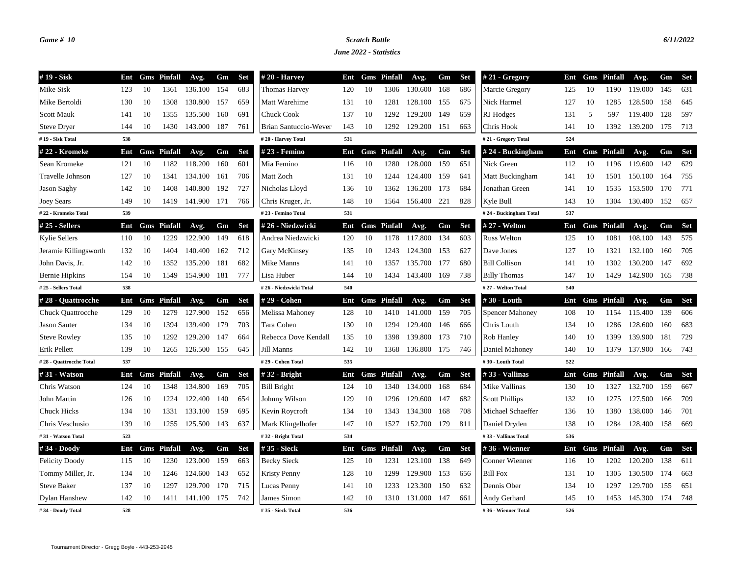### *Game # 10 Scratch Battle 6/11/2022*

*June 2022 - Statistics*

| #19 - Sisk               | Ent |    | <b>Gms</b> Pinfall | Avg.             | Gm   | Set        | $#20$ - Harvey         | Ent |    | <b>Gms</b> Pinfall | Avg.        | Gm  | Set        | $#21 - Gregory$        | Ent |    | <b>Gms</b> Pinfall | Avg.    | Gm    | Set        |
|--------------------------|-----|----|--------------------|------------------|------|------------|------------------------|-----|----|--------------------|-------------|-----|------------|------------------------|-----|----|--------------------|---------|-------|------------|
| Mike Sisk                | 123 | 10 | 1361               | 136.100          | 154  | 683        | <b>Thomas Harvey</b>   | 120 | 10 | 1306               | 130.600     | 168 | 686        | Marcie Gregory         | 125 | 10 | 1190               | 119.000 | 145   | 631        |
| Mike Bertoldi            | 130 | 10 | 1308               | 130.800          | 157  | 659        | Matt Warehime          | 131 | 10 | 1281               | 128.100     | 155 | 675        | Nick Harmel            | 127 | 10 | 1285               | 128.500 | 158   | 645        |
| <b>Scott Mauk</b>        | 141 | 10 | 1355               | 135.500          | 160  | 691        | <b>Chuck Cook</b>      | 137 | 10 | 1292               | 129.200     | 149 | 659        | RJ Hodges              | 131 | 5  | 597                | 119.400 | 128   | 597        |
| <b>Steve Dryer</b>       | 144 | 10 | 1430               | 143.000          | 187  | 761        | Brian Santuccio-Wever  | 143 | 10 | 1292               | 129.200 151 |     | 663        | Chris Hook             | 141 | 10 | 1392               | 139.200 | 175   | 713        |
| #19 - Sisk Total         | 538 |    |                    |                  |      |            | #20 - Harvey Total     | 531 |    |                    |             |     |            | #21 - Gregory Total    | 524 |    |                    |         |       |            |
| #22 - Kromeke            | Ent |    | <b>Gms</b> Pinfall | Avg.             | Gm   | <b>Set</b> | # 23 - Femino          | Ent |    | <b>Gms</b> Pinfall | Avg.        | Gm  | <b>Set</b> | $# 24 - Buckingham$    | Ent |    | <b>Gms</b> Pinfall | Avg.    | Gm    | <b>Set</b> |
| Sean Kromeke             | 121 | 10 | 1182               | 118.200          | 160  | 601        | Mia Femino             | 116 | 10 | 1280               | 128.000     | 159 | 651        | Nick Green             | 112 | 10 | 1196               | 119.600 | 142   | 629        |
| Travelle Johnson         | 127 | 10 | 1341               | 134.100          | 161  | 706        | Matt Zoch              | 131 | 10 | 1244               | 124.400     | 159 | 641        | Matt Buckingham        | 141 | 10 | 1501               | 150.100 | 164   | 755        |
| Jason Saghy              | 142 | 10 | 1408               | 140.800          | 192  | 727        | Nicholas Lloyd         | 136 | 10 | 1362               | 136.200     | 173 | 684        | Jonathan Green         | 141 | 10 | 1535               | 153.500 | 170   | 771        |
| <b>Joey Sears</b>        | 149 | 10 | 1419               | 141.900 171      |      | 766        | Chris Kruger, Jr.      | 148 | 10 | 1564               | 156.400     | 221 | 828        | Kyle Bull              | 143 | 10 | 1304               | 130.400 | 152   | 657        |
| #22 - Kromeke Total      | 539 |    |                    |                  |      |            | #23 - Femino Total     | 531 |    |                    |             |     |            | #24 - Buckingham Total | 537 |    |                    |         |       |            |
| #25 - Sellers            | Ent |    | <b>Gms</b> Pinfall | Avg.             | Gm   | <b>Set</b> | #26 - Niedzwicki       | Ent |    | <b>Gms</b> Pinfall | Avg.        | Gm  | <b>Set</b> | # 27 - Welton          | Ent |    | <b>Gms</b> Pinfall | Avg.    | Gm    | <b>Set</b> |
| <b>Kylie Sellers</b>     | 110 | 10 | 1229               | 122.900          | 149  | 618        | Andrea Niedzwicki      | 120 | 10 | 1178               | 117.800     | 134 | 603        | <b>Russ Welton</b>     | 125 | 10 | 1081               | 108.100 | 143   | 575        |
| Jeramie Killingsworth    | 132 | 10 | 1404               | 140.400          | 162  | 712        | Gary McKinsey          | 135 | 10 | 1243               | 124.300     | 153 | 627        | Dave Jones             | 127 | 10 | 1321               | 132.100 | 160   | 705        |
| John Davis, Jr.          | 142 | 10 | 1352               | 135.200          | 181  | 682        | Mike Manns             | 141 | 10 | 1357               | 135.700     | 177 | 680        | <b>Bill Collison</b>   | 141 | 10 | 1302               | 130.200 | 147   | 692        |
| <b>Bernie Hipkins</b>    | 154 | 10 | 1549               | 154.900          | 181  | 777        | Lisa Huber             | 144 | 10 | 1434               | 143.400     | 169 | 738        | <b>Billy Thomas</b>    | 147 | 10 | 1429               | 142.900 | -165  | 738        |
| #25 - Sellers Total      | 538 |    |                    |                  |      |            | #26 - Niedzwicki Total | 540 |    |                    |             |     |            | #27 - Welton Total     | 540 |    |                    |         |       |            |
| #28 - Quattrocche        | Ent |    | <b>Gms</b> Pinfall | Avg.             | Gm   | <b>Set</b> | # 29 - Cohen           | Ent |    | <b>Gms</b> Pinfall | Avg.        | Gm  | <b>Set</b> | #30 - Louth            | Ent |    | <b>Gms</b> Pinfall | Avg.    | Gm    | <b>Set</b> |
| <b>Chuck Quattrocche</b> | 129 | 10 | 1279               | 127.900          | 152  | 656        | Melissa Mahoney        | 128 | 10 | 1410               | 141.000     | 159 | 705        | <b>Spencer Mahoney</b> | 108 | 10 | 1154               | 115.400 | 139   | 606        |
| <b>Jason Sauter</b>      | 134 | 10 | 1394               | 139.400          | 179  | 703        | Tara Cohen             | 130 | 10 | 1294               | 129.400     | 146 | 666        | Chris Louth            | 134 | 10 | 1286               | 128.600 | 160   | 683        |
| <b>Steve Rowley</b>      | 135 | 10 | 1292               | 129.200          | 147  | 664        | Rebecca Dove Kendall   | 135 | 10 | 1398               | 139.800     | 173 | 710        | Rob Hanley             | 140 | 10 | 1399               | 139.900 | 181   | 729        |
| Erik Pellett             | 139 | 10 | 1265               | 126.500          | 155  | 645        | Jill Manns             | 142 | 10 | 1368               | 136.800     | 175 | 746        | Daniel Mahoney         | 140 | 10 | 1379               | 137.900 | 166   | 743        |
| #28 - Quattrocche Total  | 537 |    |                    |                  |      |            | #29 - Cohen Total      | 535 |    |                    |             |     |            | #30 - Louth Total      | 522 |    |                    |         |       |            |
| #31 - Watson             | Ent |    | <b>Gms</b> Pinfall | Avg.             | Gm   | <b>Set</b> | $#32$ - Bright         | Ent |    | <b>Gms</b> Pinfall | Avg.        | Gm  | <b>Set</b> | #33 - Vallinas         | Ent |    | <b>Gms</b> Pinfall | Avg.    | Gm    | Set        |
| Chris Watson             | 124 | 10 | 1348               | 134.800          | 169  | 705        | <b>Bill Bright</b>     | 124 | 10 | 1340               | 134.000     | 168 | 684        | Mike Vallinas          | 130 | 10 | 1327               | 132.700 | 159   | 667        |
| John Martin              | 126 | 10 | 1224               | 122.400          | 140  | 654        | Johnny Wilson          | 129 | 10 | 1296               | 129.600     | 147 | 682        | <b>Scott Phillips</b>  | 132 | 10 | 1275               | 127.500 | 166   | 709        |
| <b>Chuck Hicks</b>       | 134 | 10 | 1331               | 133.100          | 159  | 695        | Kevin Roycroft         | 134 | 10 | 1343               | 134.300     | 168 | 708        | Michael Schaeffer      | 136 | 10 | 1380               | 138.000 | 146   | 701        |
| Chris Veschusio          | 139 | 10 |                    | 1255 125.500 143 |      | 637        | Mark Klingelhofer      | 147 | 10 | 1527               | 152.700 179 |     | 811        | Daniel Dryden          | 138 | 10 | 1284               | 128.400 | - 158 | 669        |
| #31 - Watson Total       | 523 |    |                    |                  |      |            | #32 - Bright Total     | 534 |    |                    |             |     |            | #33 - Vallinas Total   | 536 |    |                    |         |       |            |
| #34 - Doody              | Ent |    | <b>Gms</b> Pinfall | Avg.             | Gm   | <b>Set</b> | # 35 - Sieck           | Ent |    | <b>Gms</b> Pinfall | Avg.        | Gm  | <b>Set</b> | #36 - Wienner          | Ent |    | <b>Gms</b> Pinfall | Avg.    | Gm    | Set        |
| <b>Felicity Doody</b>    | 115 | 10 | 1230               | 123.000          | 159  | 663        | <b>Becky Sieck</b>     | 125 | 10 | 1231               | 123.100     | 138 | 649        | Conner Wienner         | 116 | 10 | 1202               | 120.200 | 138   | 611        |
| Tommy Miller, Jr.        | 134 | 10 | 1246               | 124.600          | 143  | 652        | <b>Kristy Penny</b>    | 128 | 10 | 1299               | 129.900     | 153 | 656        | <b>Bill Fox</b>        | 131 | 10 | 1305               | 130.500 | 174   | 663        |
| <b>Steve Baker</b>       | 137 | 10 | 1297               | 129.700          | -170 | 715        | Lucas Penny            | 141 | 10 | 1233               | 123.300     | 150 | 632        | Dennis Ober            | 134 | 10 | 1297               | 129.700 | 155   | 651        |
| Dylan Hanshew            | 142 | 10 | 1411               | 141.100          | 175  | 742        | James Simon            | 142 | 10 | 1310               | 131.000     | 147 | 661        | Andy Gerhard           | 145 | 10 | 1453               | 145.300 | 174   | 748        |
| #34 - Doody Total        | 528 |    |                    |                  |      |            | #35 - Sieck Total      | 536 |    |                    |             |     |            | #36 - Wienner Total    | 526 |    |                    |         |       |            |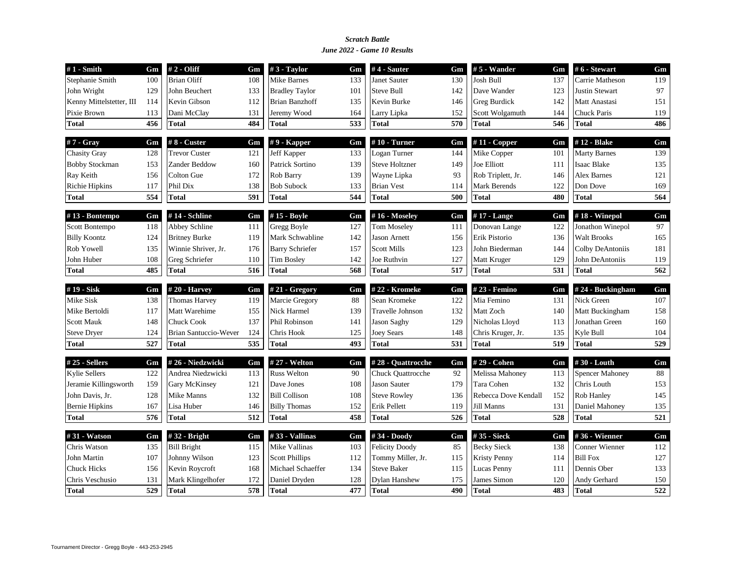#### *June 2022 - Game 10 Results Scratch Battle*

| $#1$ - Smith             | Gm  | # 2 - Oliff           | Gm  | #3 - Taylor            | Gm  | $#4 - Sauter$            | Gm  | #5 - Wander          | Gm  | #6 - Stewart           | Gm               |
|--------------------------|-----|-----------------------|-----|------------------------|-----|--------------------------|-----|----------------------|-----|------------------------|------------------|
| Stephanie Smith          | 100 | <b>Brian Oliff</b>    | 108 | <b>Mike Barnes</b>     | 133 | <b>Janet Sauter</b>      | 130 | <b>Josh Bull</b>     | 137 | Carrie Matheson        | 119              |
| John Wright              | 129 | John Beuchert         | 133 | <b>Bradley Taylor</b>  | 101 | <b>Steve Bull</b>        | 142 | Dave Wander          | 123 | <b>Justin Stewart</b>  | 97               |
| Kenny Mittelstetter, III | 114 | Kevin Gibson          | 112 | <b>Brian Banzhoff</b>  | 135 | Kevin Burke              | 146 | Greg Burdick         | 142 | Matt Anastasi          | 151              |
| Pixie Brown              | 113 | Dani McClay           | 131 | Jeremy Wood            | 164 | Larry Lipka              | 152 | Scott Wolgamuth      | 144 | <b>Chuck Paris</b>     | 119              |
| <b>Total</b>             | 456 | <b>Total</b>          | 484 | <b>Total</b>           | 533 | <b>Total</b>             | 570 | <b>Total</b>         | 546 | Total                  | 486              |
| $#7 - Gray$              | Gm  | #8 - Custer           | Gm  | $#9$ - Kapper          | Gm  | $#10$ - Turner           | Gm  | $#11$ - Copper       | Gm  | #12 - Blake            | Gm               |
| <b>Chasity Gray</b>      | 128 | <b>Trevor Custer</b>  | 121 | Jeff Kapper            | 133 | Logan Turner             | 144 | Mike Copper          | 101 | <b>Marty Barnes</b>    | 139              |
| <b>Bobby Stockman</b>    | 153 | Zander Beddow         | 160 | Patrick Sortino        | 139 | <b>Steve Holtzner</b>    | 149 | Joe Elliott          | 111 | <b>Isaac Blake</b>     | 135              |
| Ray Keith                | 156 | <b>Colton Gue</b>     | 172 | Rob Barry              | 139 | Wayne Lipka              | 93  | Rob Triplett, Jr.    | 146 | <b>Alex Barnes</b>     | 121              |
| Richie Hipkins           | 117 | Phil Dix              | 138 | <b>Bob Subock</b>      | 133 | <b>Brian Vest</b>        | 114 | <b>Mark Berends</b>  | 122 | Don Dove               | 169              |
| Total                    | 554 | <b>Total</b>          | 591 | <b>Total</b>           | 544 | <b>Total</b>             | 500 | Total                | 480 | Total                  | 564              |
| #13 - Bontempo           | Gm  | #14 - Schline         | Gm  | #15 - Boyle            | Gm  | #16 - Moseley            | Gm  | #17 - Lange          | Gm  | $#18$ - Winepol        | Gm               |
| Scott Bontempo           | 118 | Abbey Schline         | 111 | Gregg Boyle            | 127 | Tom Moseley              | 111 | Donovan Lange        | 122 | Jonathon Winepol       | 97               |
| <b>Billy Koontz</b>      | 124 | <b>Britney Burke</b>  | 119 | Mark Schwabline        | 142 | Jason Arnett             | 156 | Erik Pistorio        | 136 | <b>Walt Brooks</b>     | 165              |
| Rob Yowell               | 135 | Winnie Shriver, Jr.   | 176 | <b>Barry Schriefer</b> | 157 | <b>Scott Mills</b>       | 123 | John Biederman       | 144 | Colby DeAntoniis       | 181              |
| John Huber               | 108 | Greg Schriefer        | 110 | <b>Tim Bosley</b>      | 142 | Joe Ruthvin              | 127 | Matt Kruger          | 129 | John DeAntoniis        | 119              |
| <b>Total</b>             | 485 | <b>Total</b>          | 516 | <b>Total</b>           | 568 | <b>Total</b>             | 517 | <b>Total</b>         | 531 | <b>Total</b>           | 562              |
| #19 - Sisk               | Gm  | $# 20 - Harvey$       | Gm  | #21 - Gregory          | Gm  | #22 - Kromeke            | Gm  | #23 - Femino         | Gm  | #24 - Buckingham       | Gm               |
| Mike Sisk                | 138 | <b>Thomas Harvey</b>  | 119 | Marcie Gregory         | 88  | Sean Kromeke             | 122 | Mia Femino           | 131 | Nick Green             | 107              |
| Mike Bertoldi            | 117 | Matt Warehime         | 155 | Nick Harmel            | 139 | <b>Travelle Johnson</b>  | 132 | Matt Zoch            | 140 | Matt Buckingham        | 158              |
| <b>Scott Mauk</b>        | 148 | <b>Chuck Cook</b>     | 137 | Phil Robinson          | 141 | Jason Saghy              | 129 | Nicholas Lloyd       | 113 | Jonathan Green         | 160              |
| <b>Steve Dryer</b>       | 124 | Brian Santuccio-Wever | 124 | Chris Hook             | 125 | Joey Sears               | 148 | Chris Kruger, Jr.    | 135 | Kyle Bull              | 104              |
| <b>Total</b>             | 527 | <b>Total</b>          | 535 | <b>Total</b>           | 493 | <b>Total</b>             | 531 | <b>Total</b>         | 519 | <b>Total</b>           | 529              |
| $#25$ - Sellers          | Gm  | #26 - Niedzwicki      | Gm  | # 27 - Welton          | Gm  | #28 - Quattrocche        | Gm  | #29 - Cohen          | Gm  | #30 - Louth            | Gm               |
| <b>Kylie Sellers</b>     | 122 | Andrea Niedzwicki     | 113 | <b>Russ Welton</b>     | 90  | <b>Chuck Quattrocche</b> | 92  | Melissa Mahoney      | 113 | <b>Spencer Mahoney</b> | 88               |
| Jeramie Killingsworth    | 159 | <b>Gary McKinsey</b>  | 121 | Dave Jones             | 108 | Jason Sauter             | 179 | Tara Cohen           | 132 | Chris Louth            | 153              |
| John Davis, Jr.          | 128 | <b>Mike Manns</b>     | 132 | <b>Bill Collison</b>   | 108 | <b>Steve Rowley</b>      | 136 | Rebecca Dove Kendall | 152 | <b>Rob Hanley</b>      | 145              |
| <b>Bernie Hipkins</b>    | 167 | Lisa Huber            | 146 | <b>Billy Thomas</b>    | 152 | Erik Pellett             | 119 | Jill Manns           | 131 | Daniel Mahoney         | 135              |
| <b>Total</b>             | 576 | <b>Total</b>          | 512 | <b>Total</b>           | 458 | <b>Total</b>             | 526 | <b>Total</b>         | 528 | <b>Total</b>           | $\overline{521}$ |
| #31 - Watson             | Gm  | #32 - Bright          | Gm  | #33 - Vallinas         | Gm  | #34 - Doody              | Gm  | #35 - Sieck          | Gm  | #36 - Wienner          | Gm               |
| Chris Watson             | 135 | <b>Bill Bright</b>    | 115 | Mike Vallinas          | 103 | <b>Felicity Doody</b>    | 85  | <b>Becky Sieck</b>   | 138 | Conner Wienner         | 112              |
| John Martin              | 107 | Johnny Wilson         | 123 | <b>Scott Phillips</b>  | 112 | Tommy Miller, Jr.        | 115 | <b>Kristy Penny</b>  | 114 | <b>Bill Fox</b>        | 127              |
|                          | 156 | Kevin Roycroft        | 168 | Michael Schaeffer      | 134 | <b>Steve Baker</b>       | 115 | Lucas Penny          | 111 | Dennis Ober            | 133              |
| <b>Chuck Hicks</b>       |     |                       |     |                        |     |                          |     |                      |     |                        |                  |
| Chris Veschusio          | 131 | Mark Klingelhofer     | 172 | Daniel Dryden          | 128 | <b>Dylan Hanshew</b>     | 175 | James Simon          | 120 | Andy Gerhard           | 150              |